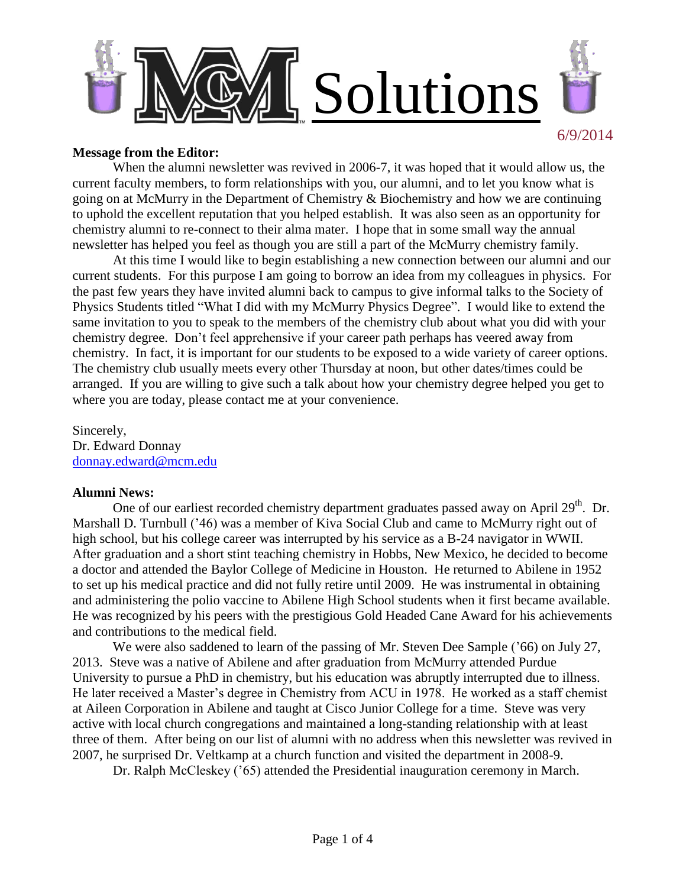

#### **Message from the Editor:**

When the alumni newsletter was revived in 2006-7, it was hoped that it would allow us, the current faculty members, to form relationships with you, our alumni, and to let you know what is going on at McMurry in the Department of Chemistry & Biochemistry and how we are continuing to uphold the excellent reputation that you helped establish. It was also seen as an opportunity for chemistry alumni to re-connect to their alma mater. I hope that in some small way the annual newsletter has helped you feel as though you are still a part of the McMurry chemistry family.

At this time I would like to begin establishing a new connection between our alumni and our current students. For this purpose I am going to borrow an idea from my colleagues in physics. For the past few years they have invited alumni back to campus to give informal talks to the Society of Physics Students titled "What I did with my McMurry Physics Degree". I would like to extend the same invitation to you to speak to the members of the chemistry club about what you did with your chemistry degree. Don't feel apprehensive if your career path perhaps has veered away from chemistry. In fact, it is important for our students to be exposed to a wide variety of career options. The chemistry club usually meets every other Thursday at noon, but other dates/times could be arranged. If you are willing to give such a talk about how your chemistry degree helped you get to where you are today, please contact me at your convenience.

Sincerely, Dr. Edward Donnay [donnay.edward@mcm.edu](mailto:donnay.edward@mcm.edu)

#### **Alumni News:**

One of our earliest recorded chemistry department graduates passed away on April 29<sup>th</sup>. Dr. Marshall D. Turnbull ('46) was a member of Kiva Social Club and came to McMurry right out of high school, but his college career was interrupted by his service as a B-24 navigator in WWII. After graduation and a short stint teaching chemistry in Hobbs, New Mexico, he decided to become a doctor and attended the Baylor College of Medicine in Houston. He returned to Abilene in 1952 to set up his medical practice and did not fully retire until 2009. He was instrumental in obtaining and administering the polio vaccine to Abilene High School students when it first became available. He was recognized by his peers with the prestigious Gold Headed Cane Award for his achievements and contributions to the medical field.

We were also saddened to learn of the passing of Mr. Steven Dee Sample ('66) on July 27, 2013. Steve was a native of Abilene and after graduation from McMurry attended Purdue University to pursue a PhD in chemistry, but his education was abruptly interrupted due to illness. He later received a Master's degree in Chemistry from ACU in 1978. He worked as a staff chemist at Aileen Corporation in Abilene and taught at Cisco Junior College for a time. Steve was very active with local church congregations and maintained a long-standing relationship with at least three of them. After being on our list of alumni with no address when this newsletter was revived in 2007, he surprised Dr. Veltkamp at a church function and visited the department in 2008-9.

Dr. Ralph McCleskey ('65) attended the Presidential inauguration ceremony in March.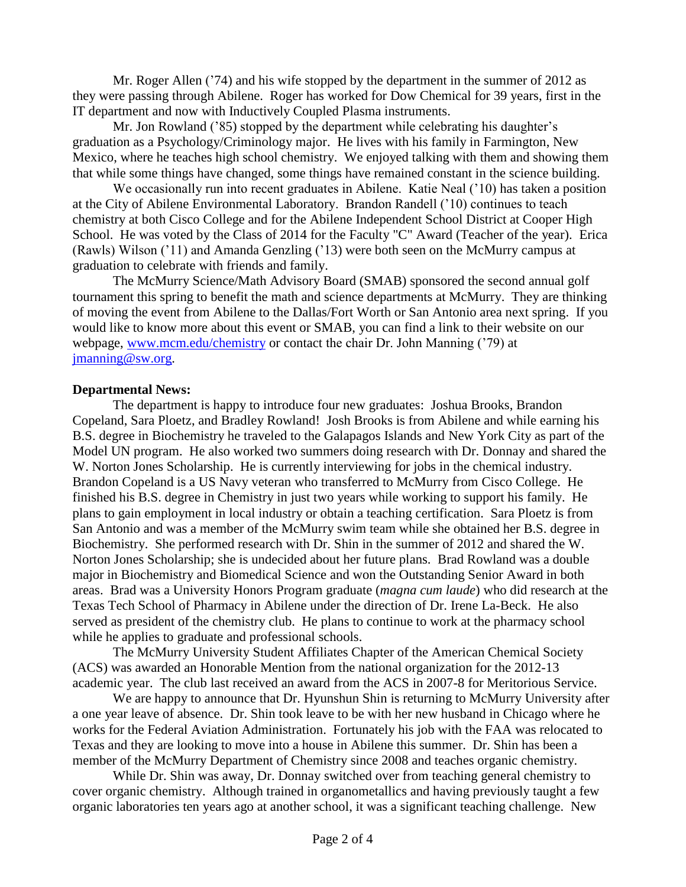Mr. Roger Allen ('74) and his wife stopped by the department in the summer of 2012 as they were passing through Abilene. Roger has worked for Dow Chemical for 39 years, first in the IT department and now with Inductively Coupled Plasma instruments.

Mr. Jon Rowland ('85) stopped by the department while celebrating his daughter's graduation as a Psychology/Criminology major. He lives with his family in Farmington, New Mexico, where he teaches high school chemistry. We enjoyed talking with them and showing them that while some things have changed, some things have remained constant in the science building.

We occasionally run into recent graduates in Abilene. Katie Neal ('10) has taken a position at the City of Abilene Environmental Laboratory. Brandon Randell ('10) continues to teach chemistry at both Cisco College and for the Abilene Independent School District at Cooper High School. He was voted by the Class of 2014 for the Faculty "C" Award (Teacher of the year). Erica (Rawls) Wilson ('11) and Amanda Genzling ('13) were both seen on the McMurry campus at graduation to celebrate with friends and family.

The McMurry Science/Math Advisory Board (SMAB) sponsored the second annual golf tournament this spring to benefit the math and science departments at McMurry. They are thinking of moving the event from Abilene to the Dallas/Fort Worth or San Antonio area next spring. If you would like to know more about this event or SMAB, you can find a link to their website on our webpage, [www.mcm.edu/chemistry](http://www.mcm.edu/chemistry) or contact the chair Dr. John Manning ('79) at [jmanning@sw.org.](mailto:jmanning@sw.org)

### **Departmental News:**

The department is happy to introduce four new graduates: Joshua Brooks, Brandon Copeland, Sara Ploetz, and Bradley Rowland! Josh Brooks is from Abilene and while earning his B.S. degree in Biochemistry he traveled to the Galapagos Islands and New York City as part of the Model UN program. He also worked two summers doing research with Dr. Donnay and shared the W. Norton Jones Scholarship. He is currently interviewing for jobs in the chemical industry. Brandon Copeland is a US Navy veteran who transferred to McMurry from Cisco College. He finished his B.S. degree in Chemistry in just two years while working to support his family. He plans to gain employment in local industry or obtain a teaching certification. Sara Ploetz is from San Antonio and was a member of the McMurry swim team while she obtained her B.S. degree in Biochemistry. She performed research with Dr. Shin in the summer of 2012 and shared the W. Norton Jones Scholarship; she is undecided about her future plans. Brad Rowland was a double major in Biochemistry and Biomedical Science and won the Outstanding Senior Award in both areas. Brad was a University Honors Program graduate (*magna cum laude*) who did research at the Texas Tech School of Pharmacy in Abilene under the direction of Dr. Irene La-Beck. He also served as president of the chemistry club. He plans to continue to work at the pharmacy school while he applies to graduate and professional schools.

The McMurry University Student Affiliates Chapter of the American Chemical Society (ACS) was awarded an Honorable Mention from the national organization for the 2012-13 academic year. The club last received an award from the ACS in 2007-8 for Meritorious Service.

We are happy to announce that Dr. Hyunshun Shin is returning to McMurry University after a one year leave of absence. Dr. Shin took leave to be with her new husband in Chicago where he works for the Federal Aviation Administration. Fortunately his job with the FAA was relocated to Texas and they are looking to move into a house in Abilene this summer. Dr. Shin has been a member of the McMurry Department of Chemistry since 2008 and teaches organic chemistry.

While Dr. Shin was away, Dr. Donnay switched over from teaching general chemistry to cover organic chemistry. Although trained in organometallics and having previously taught a few organic laboratories ten years ago at another school, it was a significant teaching challenge. New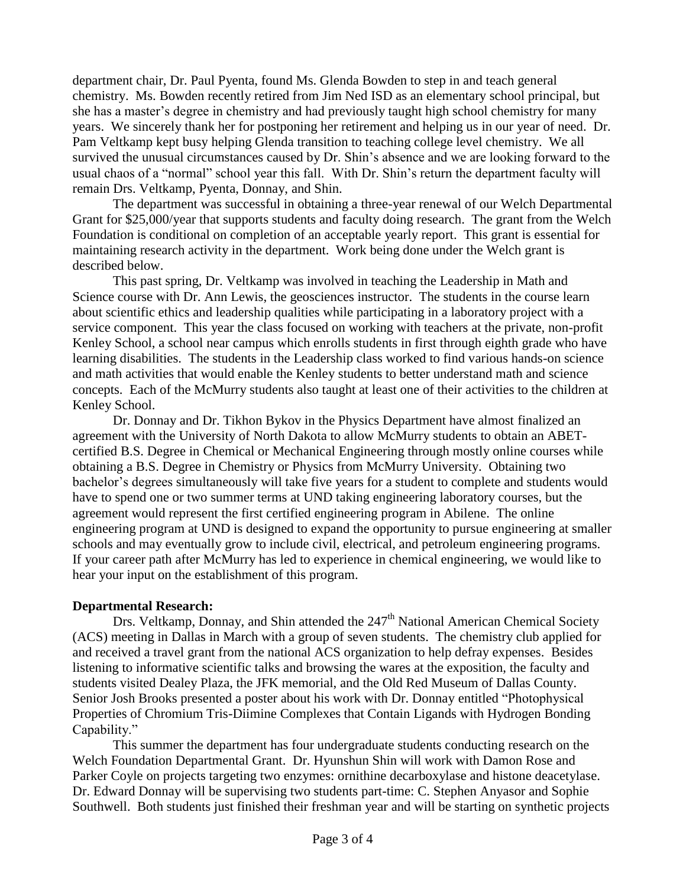department chair, Dr. Paul Pyenta, found Ms. Glenda Bowden to step in and teach general chemistry. Ms. Bowden recently retired from Jim Ned ISD as an elementary school principal, but she has a master's degree in chemistry and had previously taught high school chemistry for many years. We sincerely thank her for postponing her retirement and helping us in our year of need. Dr. Pam Veltkamp kept busy helping Glenda transition to teaching college level chemistry. We all survived the unusual circumstances caused by Dr. Shin's absence and we are looking forward to the usual chaos of a "normal" school year this fall. With Dr. Shin's return the department faculty will remain Drs. Veltkamp, Pyenta, Donnay, and Shin.

The department was successful in obtaining a three-year renewal of our Welch Departmental Grant for \$25,000/year that supports students and faculty doing research. The grant from the Welch Foundation is conditional on completion of an acceptable yearly report. This grant is essential for maintaining research activity in the department. Work being done under the Welch grant is described below.

This past spring, Dr. Veltkamp was involved in teaching the Leadership in Math and Science course with Dr. Ann Lewis, the geosciences instructor. The students in the course learn about scientific ethics and leadership qualities while participating in a laboratory project with a service component. This year the class focused on working with teachers at the private, non-profit Kenley School, a school near campus which enrolls students in first through eighth grade who have learning disabilities. The students in the Leadership class worked to find various hands-on science and math activities that would enable the Kenley students to better understand math and science concepts. Each of the McMurry students also taught at least one of their activities to the children at Kenley School.

Dr. Donnay and Dr. Tikhon Bykov in the Physics Department have almost finalized an agreement with the University of North Dakota to allow McMurry students to obtain an ABETcertified B.S. Degree in Chemical or Mechanical Engineering through mostly online courses while obtaining a B.S. Degree in Chemistry or Physics from McMurry University. Obtaining two bachelor's degrees simultaneously will take five years for a student to complete and students would have to spend one or two summer terms at UND taking engineering laboratory courses, but the agreement would represent the first certified engineering program in Abilene. The online engineering program at UND is designed to expand the opportunity to pursue engineering at smaller schools and may eventually grow to include civil, electrical, and petroleum engineering programs. If your career path after McMurry has led to experience in chemical engineering, we would like to hear your input on the establishment of this program.

## **Departmental Research:**

Drs. Veltkamp, Donnay, and Shin attended the 247<sup>th</sup> National American Chemical Society (ACS) meeting in Dallas in March with a group of seven students. The chemistry club applied for and received a travel grant from the national ACS organization to help defray expenses. Besides listening to informative scientific talks and browsing the wares at the exposition, the faculty and students visited Dealey Plaza, the JFK memorial, and the Old Red Museum of Dallas County. Senior Josh Brooks presented a poster about his work with Dr. Donnay entitled "Photophysical Properties of Chromium Tris-Diimine Complexes that Contain Ligands with Hydrogen Bonding Capability."

This summer the department has four undergraduate students conducting research on the Welch Foundation Departmental Grant. Dr. Hyunshun Shin will work with Damon Rose and Parker Coyle on projects targeting two enzymes: ornithine decarboxylase and histone deacetylase. Dr. Edward Donnay will be supervising two students part-time: C. Stephen Anyasor and Sophie Southwell. Both students just finished their freshman year and will be starting on synthetic projects